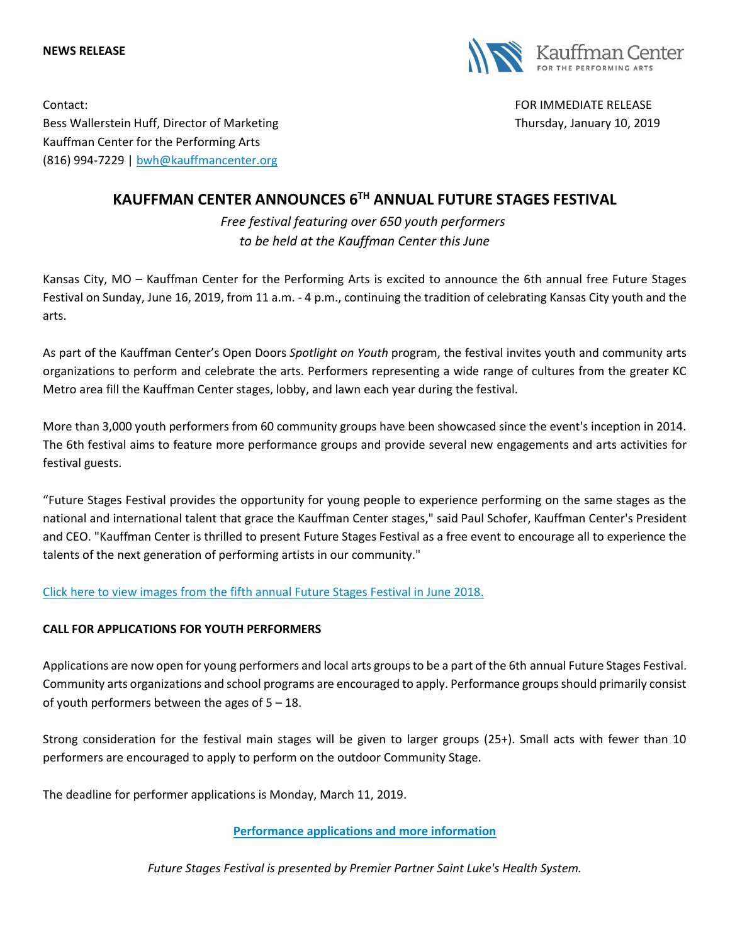



Contact: FOR IMMEDIATE RELEASE Bess Wallerstein Huff, Director of Marketing Thursday, January 10, 2019 Kauffman Center for the Performing Arts (816) 994-7229 | [bwh@kauffmancenter.org](mailto:bwh@kauffmancenter.org)

## **KAUFFMAN CENTER ANNOUNCES 6TH ANNUAL FUTURE STAGES FESTIVAL**

*Free festival featuring over 650 youth performers to be held at the Kauffman Center this June*

Kansas City, MO – Kauffman Center for the Performing Arts is excited to announce the 6th annual free Future Stages Festival on Sunday, June 16, 2019, from 11 a.m. - 4 p.m., continuing the tradition of celebrating Kansas City youth and the arts.

As part of the Kauffman Center's Open Doors *Spotlight on Youth* program, the festival invites youth and community arts organizations to perform and celebrate the arts. Performers representing a wide range of cultures from the greater KC Metro area fill the Kauffman Center stages, lobby, and lawn each year during the festival.

More than 3,000 youth performers from 60 community groups have been showcased since the event's inception in 2014. The 6th festival aims to feature more performance groups and provide several new engagements and arts activities for festival guests.

"Future Stages Festival provides the opportunity for young people to experience performing on the same stages as the national and international talent that grace the Kauffman Center stages," said Paul Schofer, Kauffman Center's President and CEO. "Kauffman Center is thrilled to present Future Stages Festival as a free event to encourage all to experience the talents of the next generation of performing artists in our community."

[Click here to view images from the fifth annual Future Stages Festival in June 2018.](https://www.flickr.com/photos/kauffmancenter/sets/72157696151408061/)

## **CALL FOR APPLICATIONS FOR YOUTH PERFORMERS**

Applications are now open for young performers and local arts groups to be a part of the 6th annual Future Stages Festival. Community arts organizations and school programs are encouraged to apply. Performance groups should primarily consist of youth performers between the ages of 5 – 18.

Strong consideration for the festival main stages will be given to larger groups (25+). Small acts with fewer than 10 performers are encouraged to apply to perform on the outdoor Community Stage.

The deadline for performer applications is Monday, March 11, 2019.

**[Performance applications and more information](https://www.kauffmancenter.org/open-doors/future-stages-festival/)**

*Future Stages Festival is presented by Premier Partner Saint Luke's Health System.*